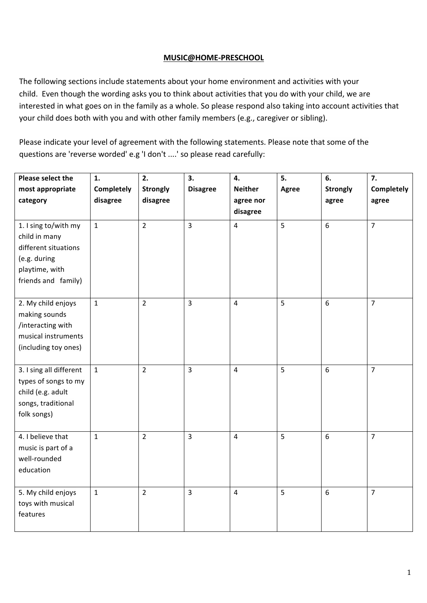## **MUSIC@HOME-PRESCHOOL**

The following sections include statements about your home environment and activities with your child. Even though the wording asks you to think about activities that you do with your child, we are interested in what goes on in the family as a whole. So please respond also taking into account activities that your child does both with you and with other family members (e.g., caregiver or sibling).

Please indicate your level of agreement with the following statements. Please note that some of the questions are 'reverse worded' e.g 'I don't ....' so please read carefully:

| Please select the       | 1.                | 2.              | 3.              | 4.                      | 5.           | 6.               | 7.                |
|-------------------------|-------------------|-----------------|-----------------|-------------------------|--------------|------------------|-------------------|
| most appropriate        | <b>Completely</b> | <b>Strongly</b> | <b>Disagree</b> | <b>Neither</b>          | <b>Agree</b> | <b>Strongly</b>  | <b>Completely</b> |
| category                | disagree          | disagree        |                 | agree nor               |              | agree            | agree             |
|                         |                   |                 |                 | disagree                |              |                  |                   |
| 1. I sing to/with my    | $\mathbf{1}$      | $\overline{2}$  | $\overline{3}$  | $\overline{4}$          | 5            | $6\phantom{1}$   | $\overline{7}$    |
| child in many           |                   |                 |                 |                         |              |                  |                   |
| different situations    |                   |                 |                 |                         |              |                  |                   |
| (e.g. during            |                   |                 |                 |                         |              |                  |                   |
| playtime, with          |                   |                 |                 |                         |              |                  |                   |
| friends and family)     |                   |                 |                 |                         |              |                  |                   |
|                         |                   |                 |                 |                         |              |                  |                   |
| 2. My child enjoys      | $\mathbf{1}$      | $\overline{2}$  | $\overline{3}$  | $\overline{\mathbf{4}}$ | 5            | $\boldsymbol{6}$ | $\overline{7}$    |
| making sounds           |                   |                 |                 |                         |              |                  |                   |
| /interacting with       |                   |                 |                 |                         |              |                  |                   |
| musical instruments     |                   |                 |                 |                         |              |                  |                   |
| (including toy ones)    |                   |                 |                 |                         |              |                  |                   |
|                         |                   |                 |                 |                         |              |                  |                   |
| 3. I sing all different | $\mathbf{1}$      | $\overline{2}$  | $\overline{3}$  | $\overline{\mathbf{4}}$ | 5            | $\boldsymbol{6}$ | $\overline{7}$    |
| types of songs to my    |                   |                 |                 |                         |              |                  |                   |
| child (e.g. adult       |                   |                 |                 |                         |              |                  |                   |
| songs, traditional      |                   |                 |                 |                         |              |                  |                   |
| folk songs)             |                   |                 |                 |                         |              |                  |                   |
|                         |                   |                 |                 |                         |              |                  |                   |
| 4. I believe that       | $\mathbf{1}$      | $\overline{2}$  | $\overline{3}$  | $\overline{\mathbf{4}}$ | 5            | $6\phantom{1}$   | $\overline{7}$    |
| music is part of a      |                   |                 |                 |                         |              |                  |                   |
| well-rounded            |                   |                 |                 |                         |              |                  |                   |
| education               |                   |                 |                 |                         |              |                  |                   |
| 5. My child enjoys      | $\mathbf{1}$      | $\overline{2}$  | $\overline{3}$  | $\overline{4}$          | 5            | 6                | $\overline{7}$    |
| toys with musical       |                   |                 |                 |                         |              |                  |                   |
| features                |                   |                 |                 |                         |              |                  |                   |
|                         |                   |                 |                 |                         |              |                  |                   |
|                         |                   |                 |                 |                         |              |                  |                   |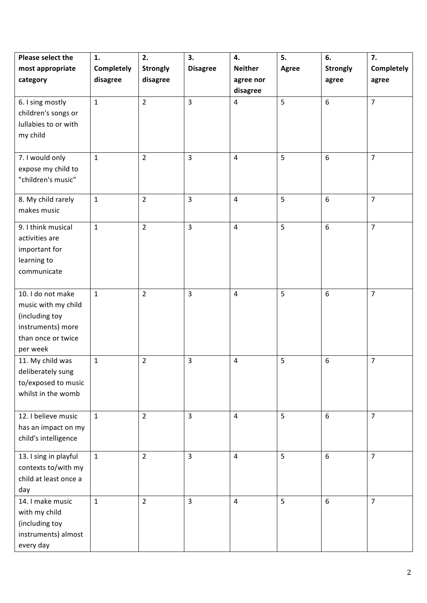| <b>Please select the</b> | 1.           | 2.              | 3.              | 4.             | 5.           | 6.              | 7.             |
|--------------------------|--------------|-----------------|-----------------|----------------|--------------|-----------------|----------------|
| most appropriate         | Completely   | <b>Strongly</b> | <b>Disagree</b> | <b>Neither</b> | <b>Agree</b> | <b>Strongly</b> | Completely     |
| category                 | disagree     | disagree        |                 | agree nor      |              | agree           | agree          |
|                          |              |                 |                 | disagree       |              |                 |                |
| 6. I sing mostly         | $\mathbf{1}$ | $\overline{2}$  | $\overline{3}$  | $\overline{4}$ | 5            | 6               | $\overline{7}$ |
| children's songs or      |              |                 |                 |                |              |                 |                |
| lullabies to or with     |              |                 |                 |                |              |                 |                |
| my child                 |              |                 |                 |                |              |                 |                |
|                          |              |                 |                 |                |              |                 |                |
| 7. I would only          | $\mathbf{1}$ | $\overline{2}$  | $\overline{3}$  | $\overline{4}$ | 5            | 6               | $\overline{7}$ |
| expose my child to       |              |                 |                 |                |              |                 |                |
| "children's music"       |              |                 |                 |                |              |                 |                |
|                          |              |                 |                 |                |              |                 |                |
| 8. My child rarely       | $\mathbf{1}$ | $\overline{2}$  | $\overline{3}$  | $\overline{4}$ | 5            | 6               | $\overline{7}$ |
| makes music              |              |                 |                 |                |              |                 |                |
| 9. I think musical       | $\mathbf{1}$ | $\overline{2}$  | $\overline{3}$  | $\overline{4}$ | 5            | $6\overline{6}$ | $\overline{7}$ |
| activities are           |              |                 |                 |                |              |                 |                |
| important for            |              |                 |                 |                |              |                 |                |
| learning to              |              |                 |                 |                |              |                 |                |
| communicate              |              |                 |                 |                |              |                 |                |
|                          |              |                 |                 |                |              |                 |                |
| 10. I do not make        | $\mathbf{1}$ | $\overline{2}$  | $\overline{3}$  | $\overline{4}$ | 5            | 6               | $\overline{7}$ |
| music with my child      |              |                 |                 |                |              |                 |                |
| (including toy           |              |                 |                 |                |              |                 |                |
| instruments) more        |              |                 |                 |                |              |                 |                |
| than once or twice       |              |                 |                 |                |              |                 |                |
| per week                 |              |                 |                 |                |              |                 |                |
| 11. My child was         | $\mathbf{1}$ | $\overline{2}$  | $\overline{3}$  | $\overline{4}$ | 5            | 6               | $\overline{7}$ |
| deliberately sung        |              |                 |                 |                |              |                 |                |
| to/exposed to music      |              |                 |                 |                |              |                 |                |
| whilst in the womb       |              |                 |                 |                |              |                 |                |
|                          |              |                 |                 |                |              |                 |                |
| 12. I believe music      | $\mathbf{1}$ | $\overline{2}$  | $\overline{3}$  | $\overline{4}$ | 5            | 6               | $\overline{7}$ |
| has an impact on my      |              |                 |                 |                |              |                 |                |
| child's intelligence     |              |                 |                 |                |              |                 |                |
| 13. I sing in playful    | $\mathbf{1}$ | $\overline{2}$  | $\overline{3}$  | $\overline{4}$ | 5            | 6               | $\overline{7}$ |
| contexts to/with my      |              |                 |                 |                |              |                 |                |
| child at least once a    |              |                 |                 |                |              |                 |                |
| day                      |              |                 |                 |                |              |                 |                |
| 14. I make music         | $\mathbf{1}$ | $\overline{2}$  | $\overline{3}$  | $\overline{4}$ | 5            | 6               | $\overline{7}$ |
| with my child            |              |                 |                 |                |              |                 |                |
| (including toy           |              |                 |                 |                |              |                 |                |
| instruments) almost      |              |                 |                 |                |              |                 |                |
| every day                |              |                 |                 |                |              |                 |                |